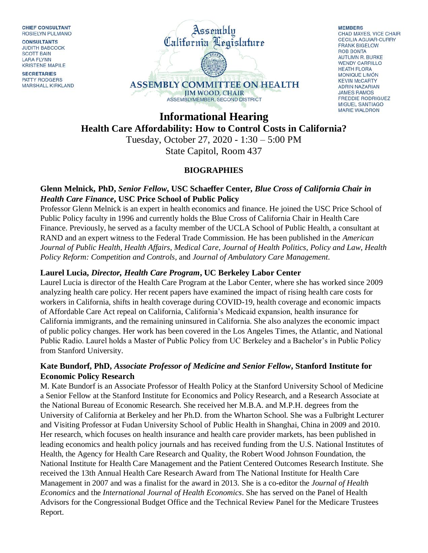**CHIEF CONSULTANT** ROSIELYN PULMANO

**CONSULTANTS JUDITH BABCOCK SCOTT BAIN LARA FLYNN KRISTENE MAPILE** 

**SECRETARIES PATTY RODGERS** MARSHALL KIRKLAND



**MEMBERS** CHAD MAYES, VICE CHAIR **CECILIA AGUIAR-CURRY FRANK BIGELOW ROB BONTA AUTUMN R. BURKE WENDY CARRILLO HEATH FLORA MONIQUE LIMÓN KEVIN McCARTY ADRIN NAZARIAN JAMES RAMOS FREDDIE RODRIGUEZ** MIGUEL SANTIAGO **MARIE WALDRON** 

**Informational Hearing Health Care Affordability: How to Control Costs in California?**

Tuesday, October 27, 2020 - 1:30 – 5:00 PM State Capitol, Room 437

### **BIOGRAPHIES**

### **Glenn Melnick, PhD,** *Senior Fellow***, USC Schaeffer Center,** *Blue Cross of California Chair in Health Care Finance***, USC Price School of Public Policy**

Professor Glenn Melnick is an expert in health economics and finance. He joined the USC Price School of Public Policy faculty in 1996 and currently holds the Blue Cross of California Chair in Health Care Finance. Previously, he served as a faculty member of the UCLA School of Public Health, a consultant at RAND and an expert witness to the Federal Trade Commission. He has been published in the *American Journal of Public Health*, *Health Affairs*, *Medical Care*, *Journal of Health Politics*, *Policy and Law*, *Health Policy Reform: Competition and Controls*, and *Journal of Ambulatory Care Management*.

# **Laurel Lucia,** *Director, Health Care Program***, UC Berkeley Labor Center**

Laurel Lucia is director of the Health Care Program at the Labor Center, where she has worked since 2009 analyzing health care policy. Her recent papers have examined the impact of rising health care costs for workers in California, shifts in health coverage during COVID-19, health coverage and economic impacts of Affordable Care Act repeal on California, California's Medicaid expansion, health insurance for California immigrants, and the remaining uninsured in California. She also analyzes the economic impact of public policy changes. Her work has been covered in the Los Angeles Times, the Atlantic, and National Public Radio. Laurel holds a Master of Public Policy from UC Berkeley and a Bachelor's in Public Policy from Stanford University.

### **Kate Bundorf, PhD,** *Associate Professor of Medicine and Senior Fellow***, Stanford Institute for Economic Policy Research**

M. Kate Bundorf is an Associate Professor of Health Policy at the Stanford University School of Medicine a Senior Fellow at the Stanford Institute for Economics and Policy Research, and a Research Associate at the National Bureau of Economic Research. She received her M.B.A. and M.P.H. degrees from the University of California at Berkeley and her Ph.D. from the Wharton School. She was a Fulbright Lecturer and Visiting Professor at Fudan University School of Public Health in Shanghai, China in 2009 and 2010. Her research, which focuses on health insurance and health care provider markets, has been published in leading economics and health policy journals and has received funding from the U.S. National Institutes of Health, the Agency for Health Care Research and Quality, the Robert Wood Johnson Foundation, the National Institute for Health Care Management and the Patient Centered Outcomes Research Institute. She received the 13th Annual Health Care Research Award from The National Institute for Health Care Management in 2007 and was a finalist for the award in 2013. She is a co-editor the *Journal of Health Economics* and the *International Journal of Health Economics*. She has served on the Panel of Health Advisors for the Congressional Budget Office and the Technical Review Panel for the Medicare Trustees Report.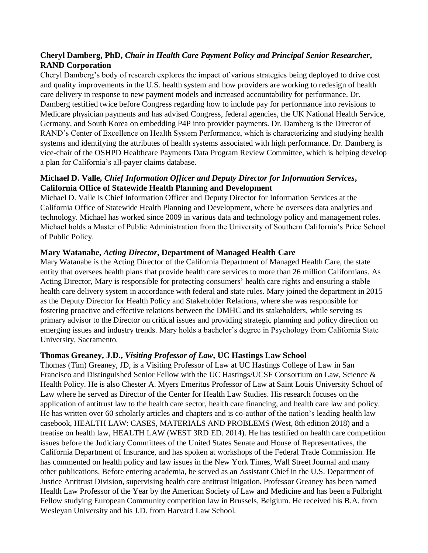# **Cheryl Damberg, PhD,** *Chair in Health Care Payment Policy and Principal Senior Researcher***, RAND Corporation**

Cheryl Damberg's body of research explores the impact of various strategies being deployed to drive cost and quality improvements in the U.S. health system and how providers are working to redesign of health care delivery in response to new payment models and increased accountability for performance. Dr. Damberg testified twice before Congress regarding how to include pay for performance into revisions to Medicare physician payments and has advised Congress, federal agencies, the UK National Health Service, Germany, and South Korea on embedding P4P into provider payments. Dr. Damberg is the Director of RAND's Center of Excellence on Health System Performance, which is characterizing and studying health systems and identifying the attributes of health systems associated with high performance. Dr. Damberg is vice-chair of the OSHPD Healthcare Payments Data Program Review Committee, which is helping develop a plan for California's all-payer claims database.

### **Michael D. Valle,** *Chief Information Officer and Deputy Director for Information Services***, California Office of Statewide Health Planning and Development**

Michael D. Valle is Chief Information Officer and Deputy Director for Information Services at the California Office of Statewide Health Planning and Development, where he oversees data analytics and technology. Michael has worked since 2009 in various data and technology policy and management roles. Michael holds a Master of Public Administration from the University of Southern California's Price School of Public Policy.

### **Mary Watanabe,** *Acting Director***, Department of Managed Health Care**

Mary Watanabe is the Acting Director of the California Department of Managed Health Care, the state entity that oversees health plans that provide health care services to more than 26 million Californians. As Acting Director, Mary is responsible for protecting consumers' health care rights and ensuring a stable health care delivery system in accordance with federal and state rules. Mary joined the department in 2015 as the Deputy Director for Health Policy and Stakeholder Relations, where she was responsible for fostering proactive and effective relations between the DMHC and its stakeholders, while serving as primary advisor to the Director on critical issues and providing strategic planning and policy direction on emerging issues and industry trends. Mary holds a bachelor's degree in Psychology from California State University, Sacramento.

### **Thomas Greaney, J.D.,** *Visiting Professor of Law***, UC Hastings Law School**

Thomas (Tim) Greaney, JD, is a Visiting Professor of Law at UC Hastings College of Law in San Francisco and Distinguished Senior Fellow with the UC Hastings/UCSF Consortium on Law, Science & Health Policy. He is also Chester A. Myers Emeritus Professor of Law at Saint Louis University School of Law where he served as Director of the Center for Health Law Studies. His research focuses on the application of antitrust law to the health care sector, health care financing, and health care law and policy. He has written over 60 scholarly articles and chapters and is co-author of the nation's leading health law casebook, HEALTH LAW: CASES, MATERIALS AND PROBLEMS (West, 8th edition 2018) and a treatise on health law, HEALTH LAW (WEST 3RD ED. 2014). He has testified on health care competition issues before the Judiciary Committees of the United States Senate and House of Representatives, the California Department of Insurance, and has spoken at workshops of the Federal Trade Commission. He has commented on health policy and law issues in the New York Times, Wall Street Journal and many other publications. Before entering academia, he served as an Assistant Chief in the U.S. Department of Justice Antitrust Division, supervising health care antitrust litigation. Professor Greaney has been named Health Law Professor of the Year by the American Society of Law and Medicine and has been a Fulbright Fellow studying European Community competition law in Brussels, Belgium. He received his B.A. from Wesleyan University and his J.D. from Harvard Law School.